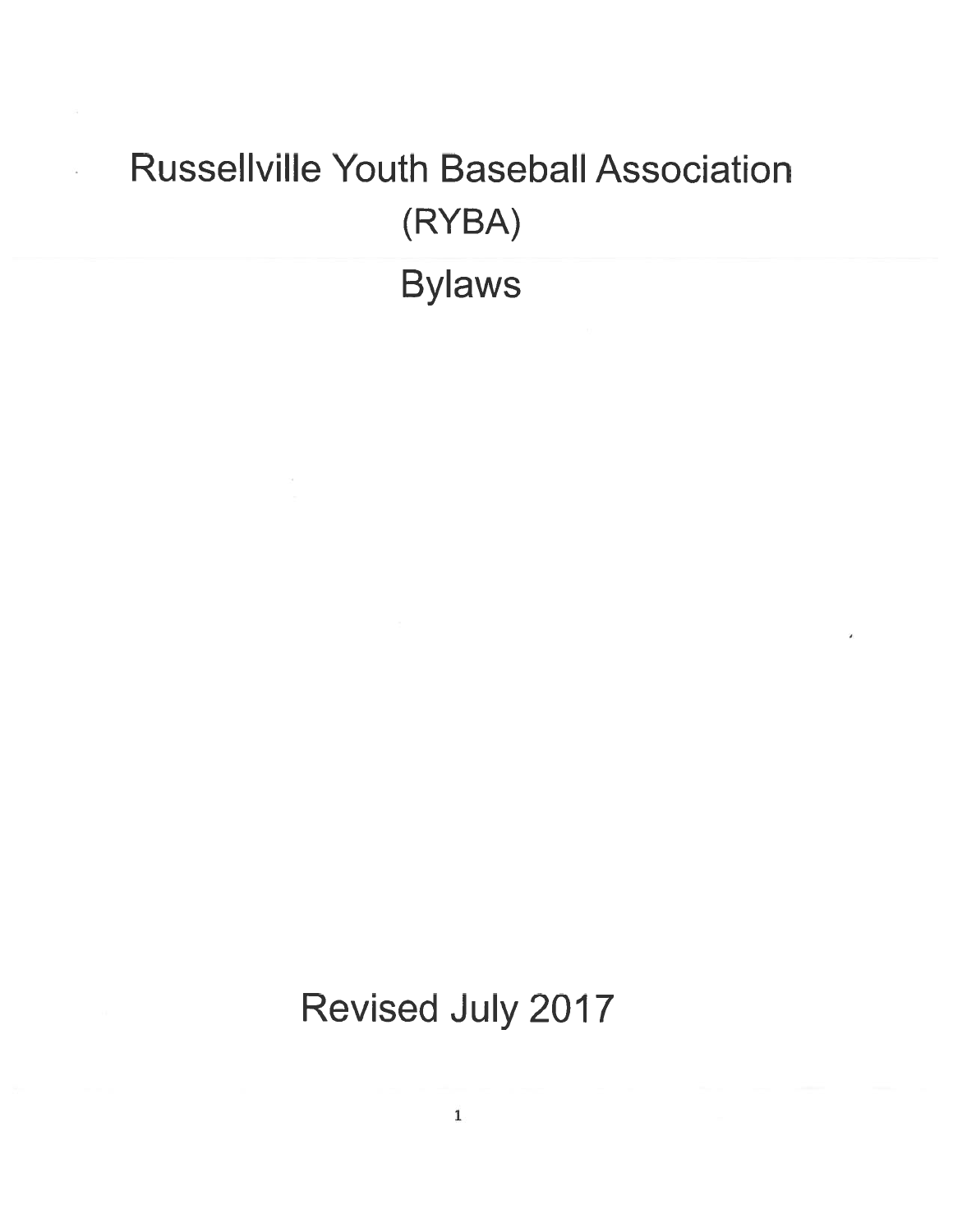# Russeilville Youth Baseball Association (RYBA) Bylaws

Revised July 2017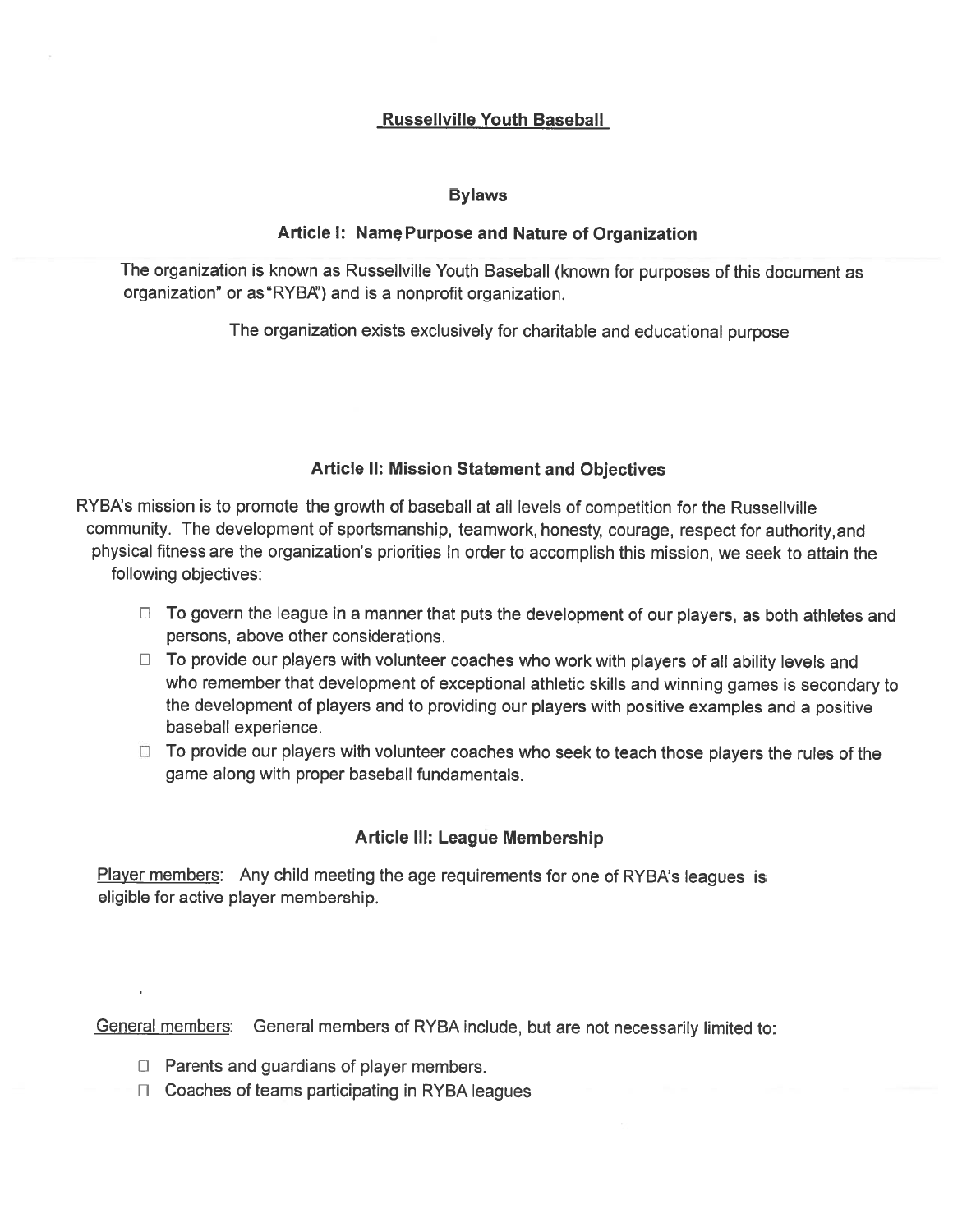# Russeilville Youth Baseball

## Bylaws

## Article I: Namç Purpose and Nature of Organization

The organization is known as Russeliville Youth Baseball (known for purposes of this document as organization" or as"RYBA') and is <sup>a</sup> nonprofit organization.

The organization exists exclusively for charitable and educational purpose

# Article II: Mission Statement and Objectives

RYBA's mission is to promote the growth of baseball at all levels of competition for the Russellville community. The development of sportsmanship, teamwork, honesty, courage, respec<sup>t</sup> for authority,and <sup>p</sup>hysical fitness are the organization's priorities In order to accomplish this mission, we seek to attain the following objectives:

- $\Box$  To govern the league in a manner that puts the development of our players, as both athletes and persons, above other considerations.
- $\Box$  To provide our players with volunteer coaches who work with players of all ability levels and who remember that development of exceptional athletic skills and winning games is secondary to the development of <sup>p</sup>layers and to providing our <sup>p</sup>layers with positive examples and <sup>a</sup> positive baseball experience.
- $\Box$  To provide our players with volunteer coaches who seek to teach those players the rules of the game along with proper baseball fundamentals.

# Article Ill: League Membership

Player members: Any child meeting the age requirements for one of RYBA's leagues is eligible for active player membership.

General members: General members of RYBA include, but are not necessarily limited to:

- $\Box$  Parents and guardians of player members.
- $\Box$  Coaches of teams participating in RYBA leagues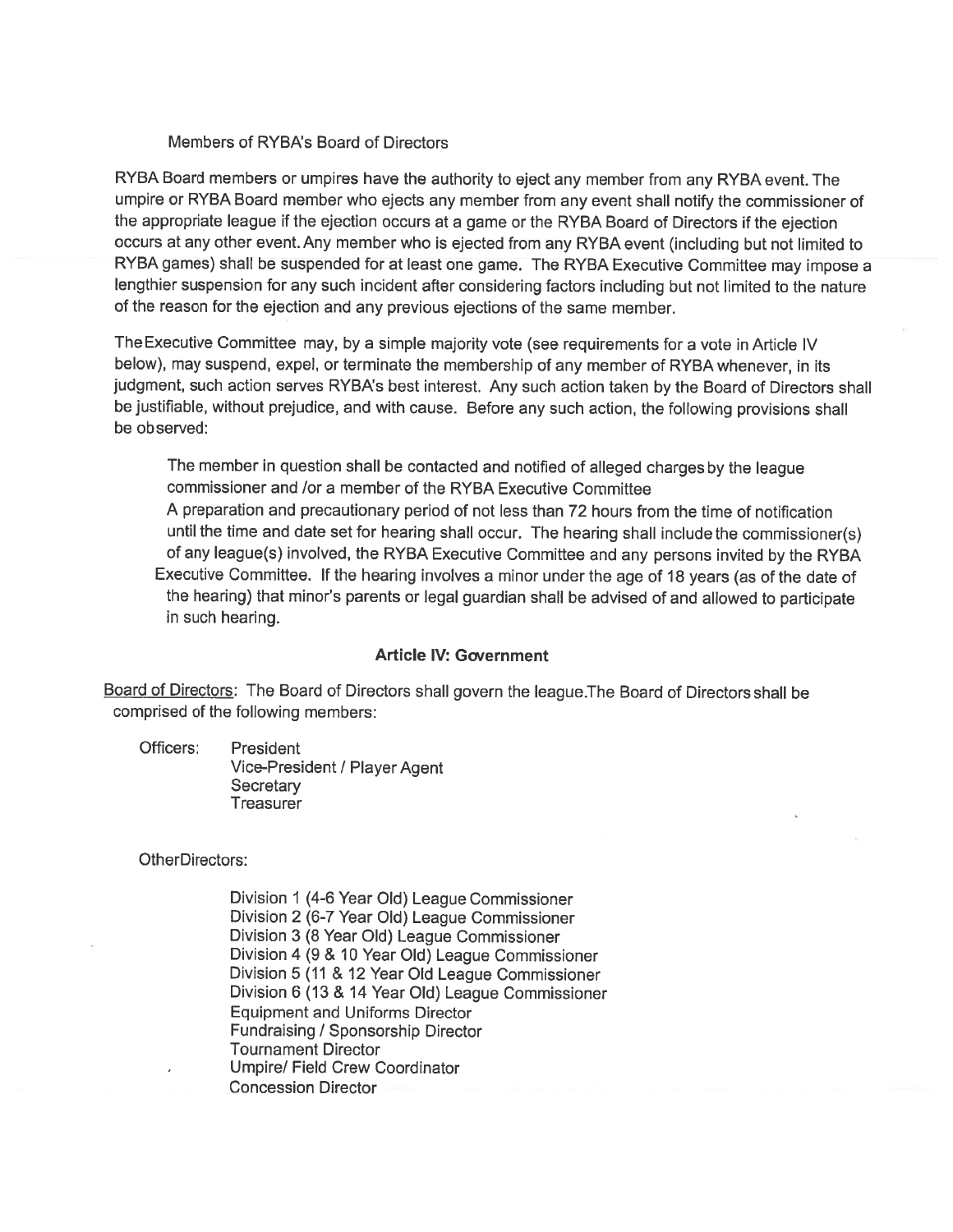### Members of RYBA's Board of Directors

RYBA Board members or umpires have the authority to eject any member from any RYBA event. The umpire or RYBA Board member who ejects any member from any event shall notify the commissioner of the appropriate league if the ejection occurs at <sup>a</sup> game or the RYBA Board of Directors if the ejection occurs at any other event. Any member who is ejected from any RYBA event (including but not limited to RYBA games) shall be suspended for at least one game. The RYBA Executive Committee may impose <sup>a</sup> lengthier suspension for any such incident after considering factors including but not limited to the nature of the reason for the ejection and any previous ejections of the same member.

The Executive Committee may, by <sup>a</sup> simple majority vote (see requirements for <sup>a</sup> vote in Article IV below), may suspend, expel, or terminate the membership of any member of RYBA whenever, in its judgment, such action serves RYBA's best interest. Any such action taken by the Board of Directors shall be justifiable, without prejudice, and with cause. Before any such action, the following provisions shall be observed:

The member in question shall be contacted and notified of alleged charges by the league commissioner and /or a member of the RYBA Executive Committee <sup>A</sup> preparation and precautionary period of not less than 72 hours from the time of notification until the time and date set for hearing shall occur. The hearing shall include the commissioner(s) of any league(s) involved, the RYBA Executive Committee and any persons invited by the RYBA Executive Committee. If the heating involves <sup>a</sup> minor under the age of <sup>18</sup> years (as of the date of the hearing) that minor's parents or legal guardian shall be advised of and allowed to participate in such hearing.

## Article IV: Government

Board of Directors: The Board of Directors shall govern the league.The Board of Directors shall be comprised of the following members:

Officers: President Vice-President/ Player Agent **Secretary Treasurer** 

OtherDirectors:

Division <sup>1</sup> (4-6 Year Old) League Commissioner Division <sup>2</sup> (6-7 Year Old) League Commissioner Division 3 (8 Year Old) League Commissioner Division <sup>4</sup> (9 & 10 Year Old) League Commissioner Division 5 (11 & <sup>12</sup> Year Old League Commissioner Division <sup>6</sup> (13 & <sup>14</sup> Year Old) League Commissioner Equipment and Uniforms Director Fundraising / Sponsorship Director Tournament Director Umpire/ Field Crew Coordinator Concession Director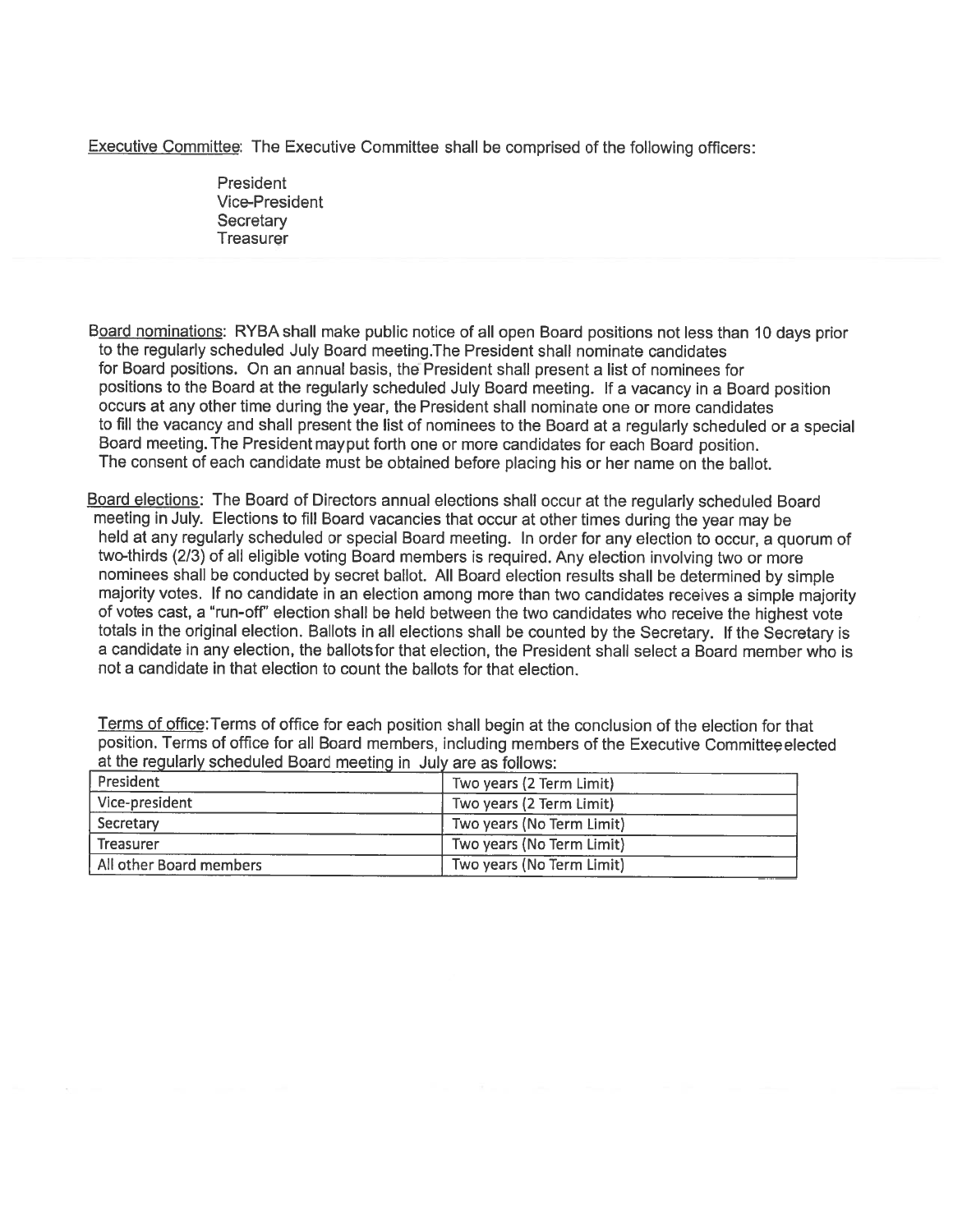Executive Committee: The Executive Committee shall be comprised of the following officers:

President Vice-President **Secretary Treasurer** 

Board nominations: RYBA shall make public notice of all open Board positions not less than <sup>10</sup> days prior to the regularly scheduled July Board meeting.The President shall nominate candidates for Board positions. On an annual basis, the President shall presen<sup>t</sup> <sup>a</sup> list of nominees for positions to the Board at the regularly scheduled July Board meeting. If <sup>a</sup> vacancy in <sup>a</sup> Board position occurs at any other time during the year, the President shall nominate one or more candidates to fill the vacancy and shall presen<sup>t</sup> the list of nominees to the Board at <sup>a</sup> regularly scheduled or <sup>a</sup> special Board meeting. The President maypu<sup>t</sup> forth one or more candidates for each Board position. The consent of each candidate must be obtained before <sup>p</sup>lacing his or her name on the ballot.

Board elections: The Board of Directors annual elections shall occur at the regularly scheduled Board meeting in July. Elections to fill Board vacancies that occur at other times during the year may be held at any regularly scheduled or special Board meeting. In order for any election to occur, <sup>a</sup> quorum of two-thirds (2/3) of all eligible voting Board members is required. Any election involving two or more nominees shall be conducted by secret ballot. All Board election results shall be determined by simple majority votes, If no candidate in an election among more than two candidates receives <sup>a</sup> simple majority of votes cast, <sup>a</sup> 'run-off' election shall be held between the two candidates who receive the highest vote totals in the original election. Ballots in all elections shall be counted by the Secretary. If the Secretary is <sup>a</sup> candidate in any election, the ballotsfor that election, the President shall select <sup>a</sup> Board member who is not <sup>a</sup> candidate in that election to count the ballots for that election.

Terms of office:Terms of office for each position shall begin at the conclusion of the election for that position. Terms of office for all Board members, including members of the Executive Committee elected at the regularly scheduled Board meeting in July are as follows:

| l President             | Two years (2 Term Limit)  |
|-------------------------|---------------------------|
| Vice-president          | Two years (2 Term Limit)  |
| Secretary               | Two years (No Term Limit) |
| <b>Treasurer</b>        | Two years (No Term Limit) |
| All other Board members | Two years (No Term Limit) |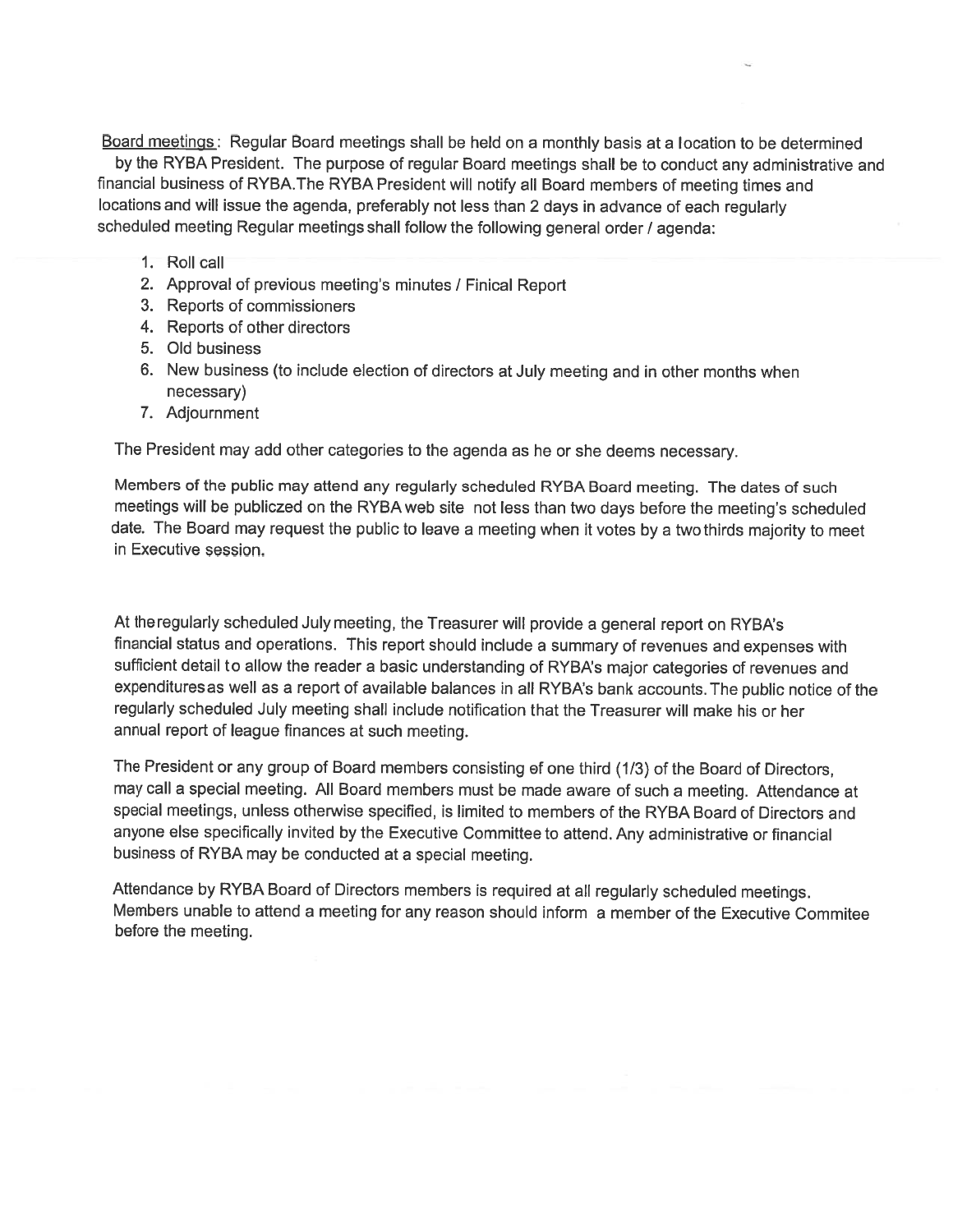Board meetings: Regular Board meetings shall be held on <sup>a</sup> monthly basis at <sup>a</sup> location to be determined by the RYBA President. The purpose of regular Board meetings shall be to conduct any administrative and financial business of RYBA.The RYBA President will notify all Board members of meeting times and locations and will issue the agenda, preferably not less than <sup>2</sup> days in advance of each regularly scheduled meeting Regular meetings shall follow the following general order / agenda:

- 1. Roll call
- 2. Approval of previous meeting's minutes / Finical Report
- 3. Reports of commissioners
- 4. Reports of other directors
- 5. Old business
- 6. New business (to include election of directors at July meeting and in other months when necessary)
- 7. Adjournment

The President may add other categories to the agenda as he or she deems necessary.

Members of the public may attend any regularly scheduled RYBA Board meeting. The dates of such meetings will be publiczed on the RYBA web site not less than two days before the meeting's scheduled date. The Board may reques<sup>t</sup> the public to leave <sup>a</sup> meeting when it votes by <sup>a</sup> two thirds majority to meet in Executive session.

Attheregularly scheduled July meeting, the Treasurer will provide <sup>a</sup> genera<sup>l</sup> repor<sup>t</sup> on RYBA's financial status and operations. This repor<sup>t</sup> should include <sup>a</sup> summary of revenues and expenses with sufficient detail to allow the reader <sup>a</sup> basic understanding of RYBA's major categories of revenues and expendituresas well as <sup>a</sup> repor<sup>t</sup> of available balances in all RYBA's bank accounts. The public notice of the regularly scheduled July meeting shall include notification that the Treasurer will make his or her annual repor<sup>t</sup> of league finances at such meeting.

The President or any group of Board members consisting of one third (1/3) of the Board of Directors, may call <sup>a</sup> special meeting. All Board members must be made aware of such <sup>a</sup> meeting. Attendance at special meetings, unless otherwise specified, is limited to members of the RYBA Board of Directors and anyone else specifically invited by the Executive Committee to attend. Any administrative or financial business of RYBA may be conducted at <sup>a</sup> special meeting.

Attendance by RYBA Board of Directors members is required at all regularly scheduled meetings. Members unable to attend <sup>a</sup> meeting for any reason should inform <sup>a</sup> member of the Executive Commitee before the meeting.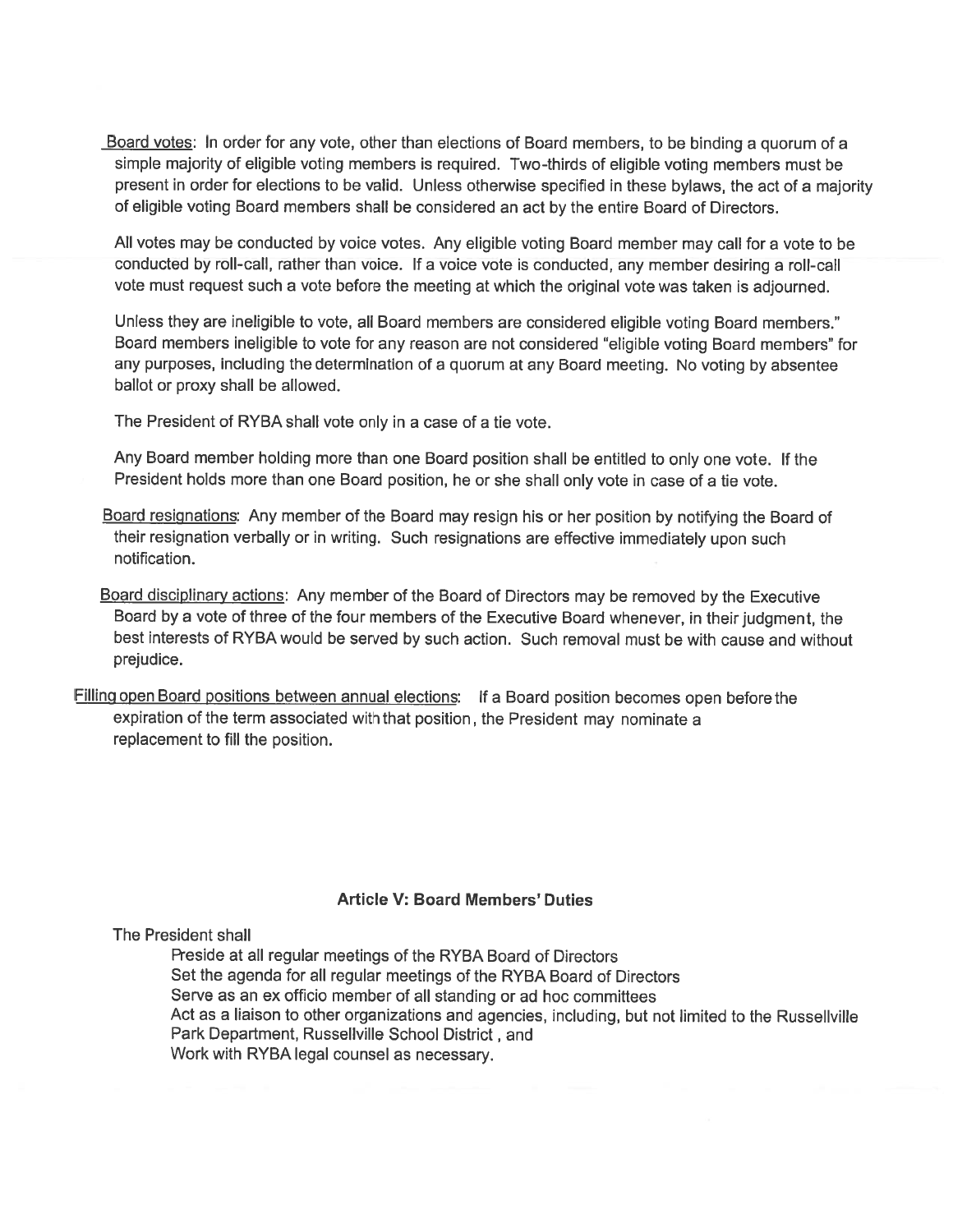Board votes: In order for any vote, other than elections of Board members, to be binding <sup>a</sup> quorum of <sup>a</sup> simple majority of eligible voting members is required. Two-thirds of eligible voting members must be presen<sup>t</sup> in order for elections to be valid. Unless otherwise specified in these bylaws, the act of <sup>a</sup> majority of eligible voting Board members shall be considered an act by the entire Board of Directors.

All votes may be conducted by voice votes. Any eligible voting Board member may call for <sup>a</sup> vote to be conducted by roll-call, rather than voice. If <sup>a</sup> voice vote is conducted, any member desiring <sup>a</sup> roll-call vote must reques<sup>t</sup> such <sup>a</sup> vote before the meeting at which the original vote was taken is adjourned.

Unless they are ineligible to vote, all Board members are considered eligible voting Board members." Board members ineligible to vote for any reason are not considered 'eligible voting Board members" for any purposes, including the determination of <sup>a</sup> quorum at any Board meeting. No voting by absentee ballot or proxy shall be allowed.

The President of RYBA shall vote only in <sup>a</sup> case of <sup>a</sup> tie vote.

Any Board member holding more than one Board position shall be entitled to only one vote. If the President holds more than one Board position, he or she shall only vote in case of <sup>a</sup> tie vote.

Board resignations: Any member of the Board may resign his or her position by notifying the Board of their resignation verbally or in writing. Such resignations are effective immediately upon such notification.

Board disciplinary actions: Any member of the Board of Directors may be removed by the Executive Board by <sup>a</sup> vote of three of the four members of the Executive Board whenever, in their judgment, the best interests of RYBA would be served by such action. Such removal must be with cause and without prejudice.

Filling open Board positions between annual elections: If a Board position becomes open before the expiration of the term associated with that position, the President may nominate <sup>a</sup> replacement to fill the position.

## Article V: Board Members' Duties

The President shall

Reside at all regular meetings of the RYBA Board of Directors Set the agenda for all regular meetings of the RYBA Board of Directors Serve as an ex officio member of all standing or ad hoc committees Act as <sup>a</sup> liaison to other organizations and agencies, including, but not limited to the Russellville Park Department, Russellville School District, and Work with RYBA legal counsel as necessary.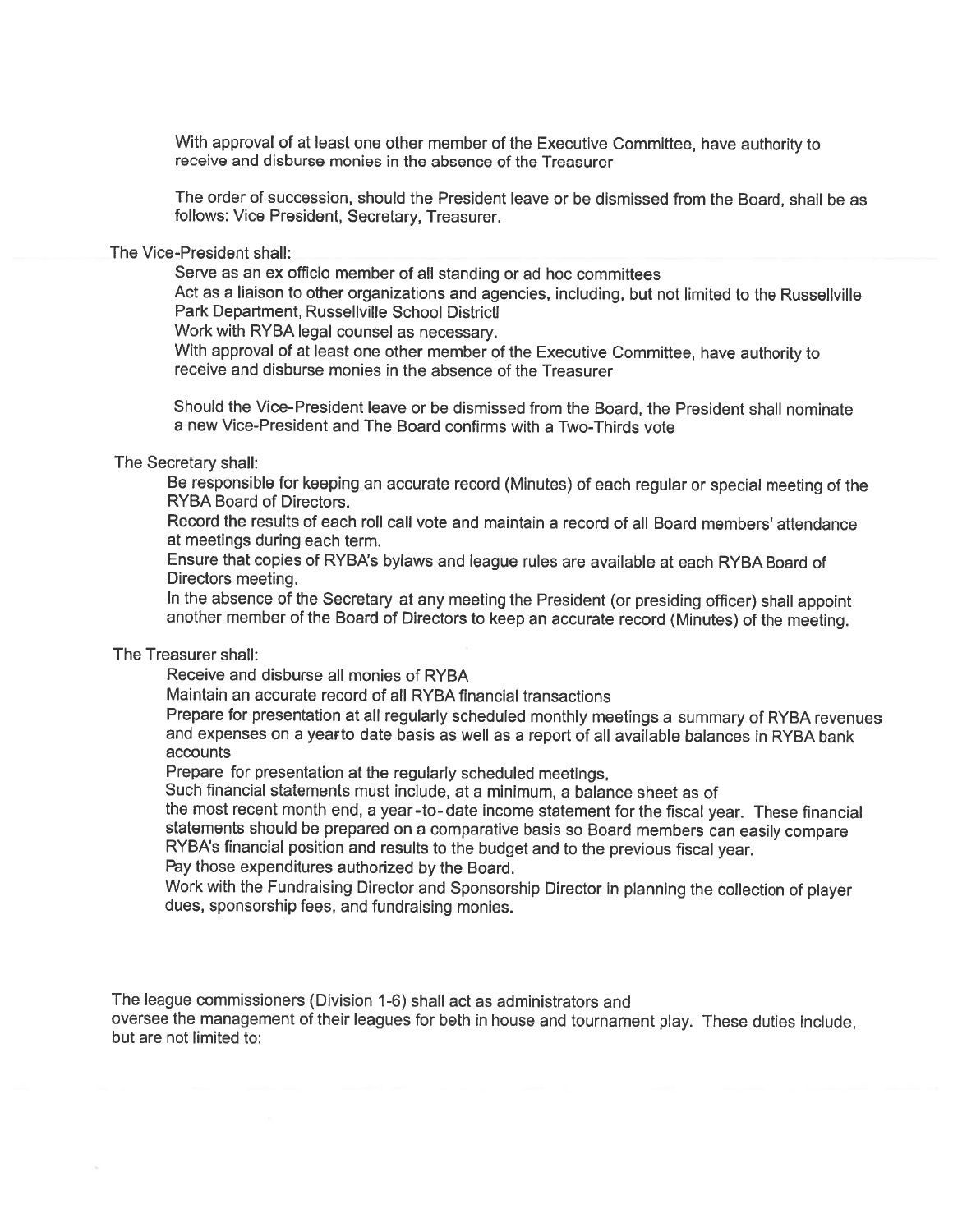With approva<sup>l</sup> of at least one other member of the Executive Committee, have authority to receive and disburse monies in the absence of the Treasurer

The order of succession, should the President leave or be dismissed from the Board, shall be as follows: Vice President, Secretary, Treasurer.

#### The Vice-President shall:

Serve as an ex officio member of all standing or ad hoc committees

Act as <sup>a</sup> liaison to other organizations and agencies, including, but not limited to the Russellville Park Department, Russeliville School Districti

Work with RYBA legal counsel as necessary.

With approva<sup>l</sup> of at least one other member of the Executive Committee, have authority to receive and disburse monies in the absence of the Treasurer

Should the Vice-President leave or be dismissed from the Board, the President shall nominate <sup>a</sup> new Vice-President and The Board confirms with <sup>a</sup> Two-Thirds vote

#### The Secretary shall:

Be responsible for keeping an accurate record (Minutes) of each regular or special meeting of the RYBA Board of Directors.

Record the results of each roll call vote and maintain <sup>a</sup> record of all Board members' attendance at meetings during each term.

Ensure that copies of RYBA's bylaws and league rules are available at each RYBA Board of Directors meeting.

In the absence of the Secretary at any meeting the President (or presiding officer) shall appoint another member of the Board of Directors to keep an accurate record (Minutes) of the meeting.

#### The Treasurer shall:

Receive and disburse all monies of RYBA

Maintain an accurate record of all RYBA financial transactions

Prepare for presentation at all regularly scheduled monthly meetings <sup>a</sup> summary of RYBA revenues and expenses on a yearto date basis as well as a report of all available balances in RYBA bank accounts

Prepare for presentation at the regularly scheduled meetings,

Such financial statements must include, at <sup>a</sup> minimum, <sup>a</sup> balance sheet as of

the most recent month end, <sup>a</sup> year-to-date income statement for the fiscal year. These financial statements should be prepare<sup>d</sup> on <sup>a</sup> comparative basis so Board members can easily compare RYBA's financial position and results to the budget and to the previous fiscal year. Pay those expenditures authorized by the Board.

Work with the Fundraising Director and Sponsorship Director in <sup>p</sup>lanning the collection of <sup>p</sup>layer dues, sponsorship fees, and fundraising monies.

The league commissioners (Division 1-6) shall act as administrators and oversee the managemen<sup>t</sup> of their leagues for both in house and tournament <sup>p</sup>lay. These duties include, but are not limited to: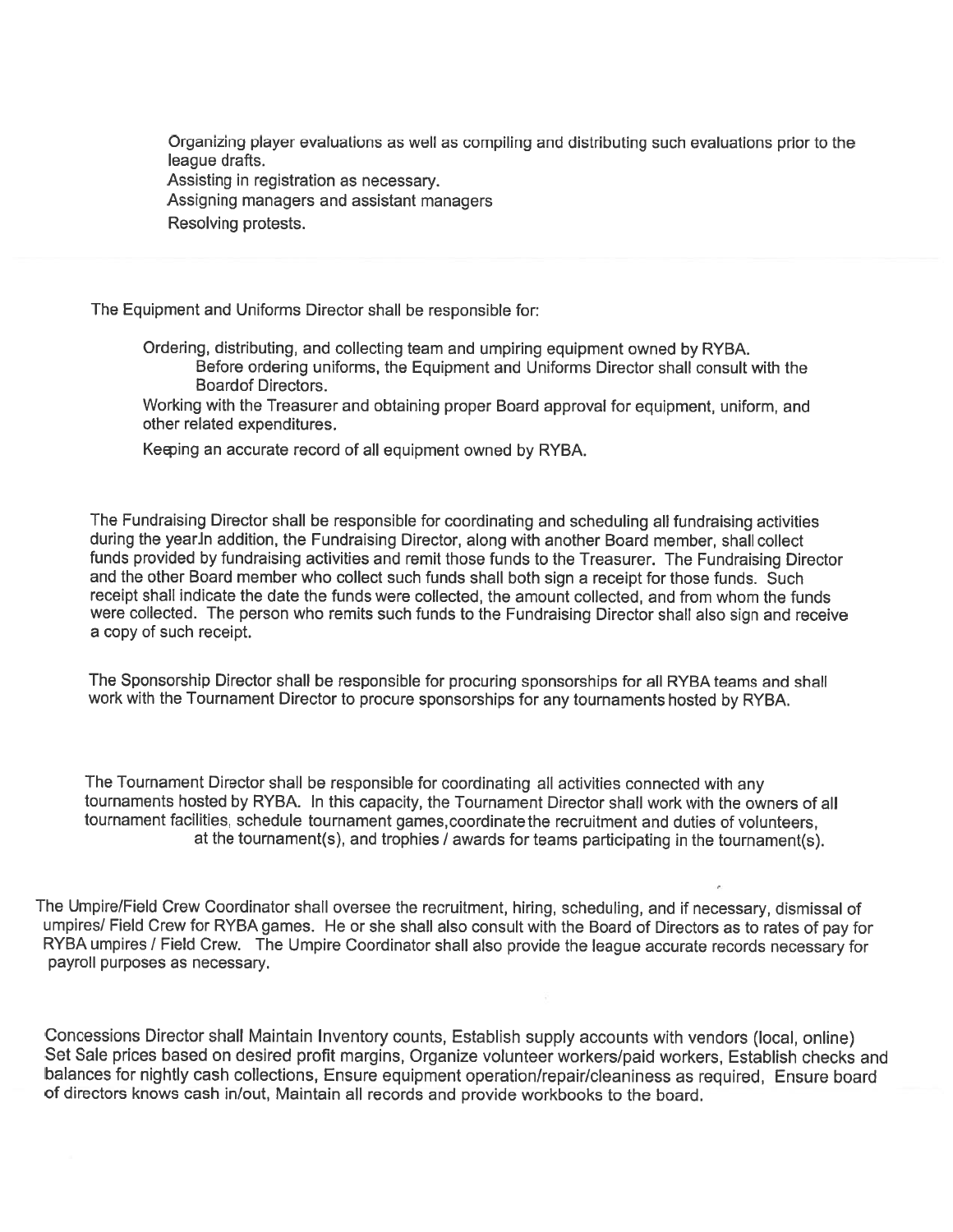Organizing <sup>p</sup>layer evaluations as well as compiling and distributing such evaluations prior to the league drafts.

Assisting in registration as necessary.

Assigning managers and assistant managers

Resolving protests.

The Equipment and Uniforms Director shall be responsible for:

Ordering, distributing, and collecting team and umpiring equipment owned by RYBA. Before ordering uniforms, the Equipment and Uniforms Director shall consult with the Board of Directors.

Working with the Treasurer and obtaining proper Board approva<sup>l</sup> for equipment, uniform, and other related expenditures.

Keqing an accurate record of all equipment owned by RYBA.

The Fundraising Director shall be responsible for coordinating and scheduling all fundraising activities during the year. In addition, the Fundraising Director, along with another Board member, shall collect funds provided by fundraising activities and remit those funds to the Treasurer. The Fundraising Director and the other Board member who collect such funds shall both sign <sup>a</sup> receipt for those funds. Such receipt shall indicate the date the funds were collected, the amount collected, and from whom the funds were collected. The person who remits such funds to the Fundraising Director shall also sign and receive <sup>a</sup> copy of such receipt.

The Sponsorship Director shall be responsible for procuring sponsorships for all RYBA teams and shall work with the Tournament Director to procure sponsorships for any tournaments hosted by RYBA.

The Tournament Director shall be responsible for coordinating all activities connected with any tournaments hosted by RYBA. In this capacity, the Tournament Director shall work with the owners of all tournament facilities, schedule tournament games, coordinate the recruitment and duties of volunteers, at the tournament(s), and trophies / awards for teams participating in the tournament(s).

The Umpire/Field Crew Coordinator shall oversee the recruitment, hiring, scheduling, and if necessary, dismissal of umpires/ Field Crew for RYBA games. He or she shall also consult with the Board of Directors as to rates of pay for RYBA umpires / Field Crew. The Umpire Coordinator shall also provide the league accurate records necessary for payroll purposes as necessary.

Concessions Director shall Maintain Inventory counts, Establish supply accounts with vendors (local, online) Set Sale prices based on desired profit margins, Organize volunteer workers/paid workers, Establish checks and balances for nightly cash collections, Ensure equipment operation/repair/cleaniness as required, Ensure board of directors knows cash in/out, Maintain all records and provide workbooks to the board.